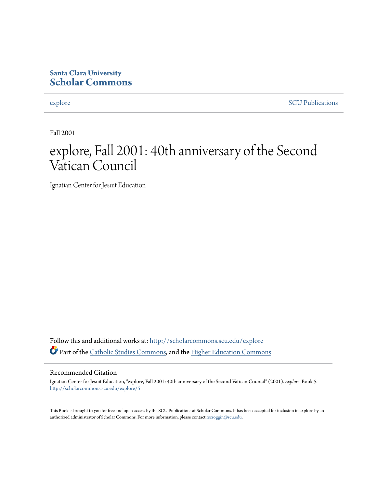# **Santa Clara University [Scholar Commons](http://scholarcommons.scu.edu?utm_source=scholarcommons.scu.edu%2Fexplore%2F5&utm_medium=PDF&utm_campaign=PDFCoverPages)**

[explore](http://scholarcommons.scu.edu/explore?utm_source=scholarcommons.scu.edu%2Fexplore%2F5&utm_medium=PDF&utm_campaign=PDFCoverPages) [SCU Publications](http://scholarcommons.scu.edu/scu_pubs?utm_source=scholarcommons.scu.edu%2Fexplore%2F5&utm_medium=PDF&utm_campaign=PDFCoverPages)

Fall 2001

# explore, Fall 2001: 40th anniversary of the Second Vatican Council

Ignatian Center for Jesuit Education

Follow this and additional works at: [http://scholarcommons.scu.edu/explore](http://scholarcommons.scu.edu/explore?utm_source=scholarcommons.scu.edu%2Fexplore%2F5&utm_medium=PDF&utm_campaign=PDFCoverPages) Part of the [Catholic Studies Commons,](http://network.bepress.com/hgg/discipline/1294?utm_source=scholarcommons.scu.edu%2Fexplore%2F5&utm_medium=PDF&utm_campaign=PDFCoverPages) and the [Higher Education Commons](http://network.bepress.com/hgg/discipline/1245?utm_source=scholarcommons.scu.edu%2Fexplore%2F5&utm_medium=PDF&utm_campaign=PDFCoverPages)

#### Recommended Citation

Ignatian Center for Jesuit Education, "explore, Fall 2001: 40th anniversary of the Second Vatican Council" (2001). *explore.* Book 5. [http://scholarcommons.scu.edu/explore/5](http://scholarcommons.scu.edu/explore/5?utm_source=scholarcommons.scu.edu%2Fexplore%2F5&utm_medium=PDF&utm_campaign=PDFCoverPages)

This Book is brought to you for free and open access by the SCU Publications at Scholar Commons. It has been accepted for inclusion in explore by an authorized administrator of Scholar Commons. For more information, please contact [rscroggin@scu.edu.](mailto:rscroggin@scu.edu)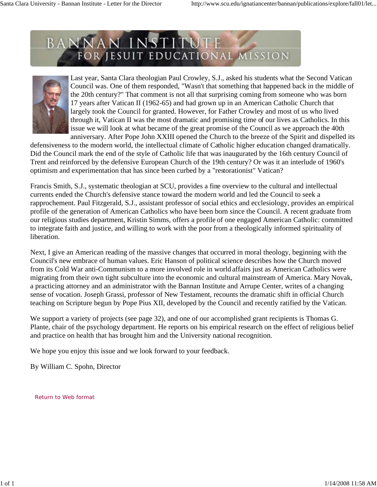

Last year, Santa Clara theologian Paul Crowley, S.J., asked his students what the Second Vatican Council was. One of them responded, "Wasn't that something that happened back in the middle of the 20th century?" That comment is not all that surprising coming from someone who was born 17 years after Vatican II (1962-65) and had grown up in an American Catholic Church that largely took the Council for granted. However, for Father Crowley and most of us who lived through it, Vatican II was the most dramatic and promising time of our lives as Catholics. In this issue we will look at what became of the great promise of the Council as we approach the 40th anniversary. After Pope John XXIII opened the Church to the breeze of the Spirit and dispelled its

defensiveness to the modern world, the intellectual climate of Catholic higher education changed dramatically. Did the Council mark the end of the style of Catholic life that was inaugurated by the 16th century Council of Trent and reinforced by the defensive European Church of the 19th century? Or was it an interlude of 1960's optimism and experimentation that has since been curbed by a "restorationist" Vatican?

Francis Smith, S.J., systematic theologian at SCU, provides a fine overview to the cultural and intellectual currents ended the Church's defensive stance toward the modern world and led the Council to seek a rapprochement. Paul Fitzgerald, S.J., assistant professor of social ethics and ecclesiology, provides an empirical profile of the generation of American Catholics who have been born since the Council. A recent graduate from our religious studies department, Kristin Simms, offers a profile of one engaged American Catholic: committed to integrate faith and justice, and willing to work with the poor from a theologically informed spirituality of liberation.

Next, I give an American reading of the massive changes that occurred in moral theology, beginning with the Council's new embrace of human values. Eric Hanson of political science describes how the Church moved from its Cold War anti-Communism to a more involved role in world affairs just as American Catholics were migrating from their own tight subculture into the economic and cultural mainstream of America. Mary Novak, a practicing attorney and an administrator with the Bannan Institute and Arrupe Center, writes of a changing sense of vocation. Joseph Grassi, professor of New Testament, recounts the dramatic shift in official Church teaching on Scripture begun by Pope Pius XII, developed by the Council and recently ratified by the Vatican.

We support a variety of projects (see page 32), and one of our accomplished grant recipients is Thomas G. Plante, chair of the psychology department. He reports on his empirical research on the effect of religious belief and practice on health that has brought him and the University national recognition.

We hope you enjoy this issue and we look forward to your feedback.

By William C. Spohn, Director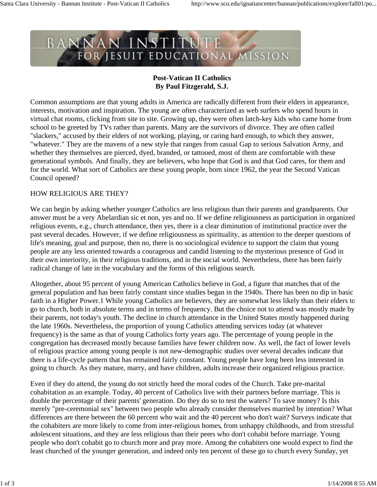

# **Post-Vatican II Catholics By Paul Fitzgerald, S.J.**

Common assumptions are that young adults in America are radically different from their elders in appearance, interests, motivation and inspiration. The young are often characterized as web surfers who spend hours in virtual chat rooms, clicking from site to site. Growing up, they were often latch-key kids who came home from school to be greeted by TVs rather than parents. Many are the survivors of divorce. They are often called "slackers," accused by their elders of not working, playing, or caring hard enough, to which they answer, "whatever." They are the mavens of a new style that ranges from casual Gap to serious Salvation Army, and whether they themselves are pierced, dyed, branded, or tattooed, most of them are comfortable with these generational symbols. And finally, they are believers, who hope that God is and that God cares, for them and for the world. What sort of Catholics are these young people, born since 1962, the year the Second Vatican Council opened?

#### HOW RELIGIOUS ARE THEY?

We can begin by asking whether younger Catholics are less religious than their parents and grandparents. Our answer must be a very Abelardian sic et non, yes and no. If we define religiousness as participation in organized religious events, e.g., church attendance, then yes, there is a clear diminution of institutional practice over the past several decades. However, if we define religiousness as spirituality, as attention to the deeper questions of life's meaning, goal and purpose, then no, there is no sociological evidence to support the claim that young people are any less oriented towards a courageous and candid listening to the mysterious presence of God in their own interiority, in their religious traditions, and in the social world. Nevertheless, there has been fairly radical change of late in the vocabulary and the forms of this religious search.

Altogether, about 95 percent of young American Catholics believe in God, a figure that matches that of the general population and has been fairly constant since studies began in the 1940s. There has been no dip in basic faith in a Higher Power.1 While young Catholics are believers, they are somewhat less likely than their elders to go to church, both in absolute terms and in terms of frequency. But the choice not to attend was mostly made by their parents, not today's youth. The decline in church attendance in the United States mostly happened during the late 1960s. Nevertheless, the proportion of young Catholics attending services today (at whatever frequency) is the same as that of young Catholics forty years ago. The percentage of young people in the congregation has decreased mostly because families have fewer children now. As well, the fact of lower levels of religious practice among young people is not new-demographic studies over several decades indicate that there is a life-cycle pattern that has remained fairly constant. Young people have long been less interested in going to church. As they mature, marry, and have children, adults increase their organized religious practice.

Even if they do attend, the young do not strictly heed the moral codes of the Church. Take pre-marital cohabitation as an example. Today, 40 percent of Catholics live with their partners before marriage. This is double the percentage of their parents' generation. Do they do so to test the waters? To save money? Is this merely "pre-ceremonial sex" between two people who already consider themselves married by intention? What differences are there between the 60 percent who wait and the 40 percent who don't wait? Surveys indicate that the cohabiters are more likely to come from inter-religious homes, from unhappy childhoods, and from stressful adolescent situations, and they are less religious than their peers who don't cohabit before marriage. Young people who don't cohabit go to church more and pray more. Among the cohabiters one would expect to find the least churched of the younger generation, and indeed only ten percent of these go to church every Sunday, yet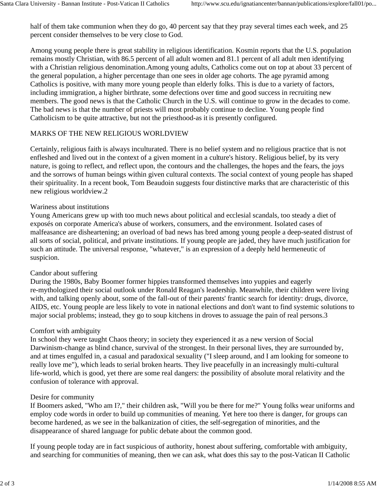half of them take communion when they do go, 40 percent say that they pray several times each week, and 25 percent consider themselves to be very close to God.

Among young people there is great stability in religious identification. Kosmin reports that the U.S. population remains mostly Christian, with 86.5 percent of all adult women and 81.1 percent of all adult men identifying with a Christian religious denomination.Among young adults, Catholics come out on top at about 33 percent of the general population, a higher percentage than one sees in older age cohorts. The age pyramid among Catholics is positive, with many more young people than elderly folks. This is due to a variety of factors, including immigration, a higher birthrate, some defections over time and good success in recruiting new members. The good news is that the Catholic Church in the U.S. will continue to grow in the decades to come. The bad news is that the number of priests will most probably continue to decline. Young people find Catholicism to be quite attractive, but not the priesthood-as it is presently configured.

# MARKS OF THE NEW RELIGIOUS WORLDVIEW

Certainly, religious faith is always inculturated. There is no belief system and no religious practice that is not enfleshed and lived out in the context of a given moment in a culture's history. Religious belief, by its very nature, is going to reflect, and reflect upon, the contours and the challenges, the hopes and the fears, the joys and the sorrows of human beings within given cultural contexts. The social context of young people has shaped their spirituality. In a recent book, Tom Beaudoin suggests four distinctive marks that are characteristic of this new religious worldview.2

#### Wariness about institutions

Young Americans grew up with too much news about political and ecclesial scandals, too steady a diet of exposés on corporate America's abuse of workers, consumers, and the environment. Isolated cases of malfeasance are disheartening; an overload of bad news has bred among young people a deep-seated distrust of all sorts of social, political, and private institutions. If young people are jaded, they have much justification for such an attitude. The universal response, "whatever," is an expression of a deeply held hermeneutic of suspicion.

#### Candor about suffering

During the 1980s, Baby Boomer former hippies transformed themselves into yuppies and eagerly re-mythologized their social outlook under Ronald Reagan's leadership. Meanwhile, their children were living with, and talking openly about, some of the fall-out of their parents' frantic search for identity: drugs, divorce, AIDS, etc. Young people are less likely to vote in national elections and don't want to find systemic solutions to major social problems; instead, they go to soup kitchens in droves to assuage the pain of real persons.3

#### Comfort with ambiguity

In school they were taught Chaos theory; in society they experienced it as a new version of Social Darwinism-change as blind chance, survival of the strongest. In their personal lives, they are surrounded by, and at times engulfed in, a casual and paradoxical sexuality ("I sleep around, and I am looking for someone to really love me"), which leads to serial broken hearts. They live peacefully in an increasingly multi-cultural life-world, which is good, yet there are some real dangers: the possibility of absolute moral relativity and the confusion of tolerance with approval.

#### Desire for community

If Boomers asked, "Who am I?," their children ask, "Will you be there for me?" Young folks wear uniforms and employ code words in order to build up communities of meaning. Yet here too there is danger, for groups can become hardened, as we see in the balkanization of cities, the self-segregation of minorities, and the disappearance of shared language for public debate about the common good.

If young people today are in fact suspicious of authority, honest about suffering, comfortable with ambiguity, and searching for communities of meaning, then we can ask, what does this say to the post-Vatican II Catholic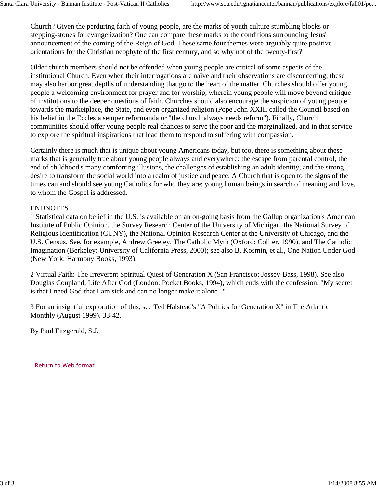Church? Given the perduring faith of young people, are the marks of youth culture stumbling blocks or stepping-stones for evangelization? One can compare these marks to the conditions surrounding Jesus' announcement of the coming of the Reign of God. These same four themes were arguably quite positive orientations for the Christian neophyte of the first century, and so why not of the twenty-first?

Older church members should not be offended when young people are critical of some aspects of the institutional Church. Even when their interrogations are naïve and their observations are disconcerting, these may also harbor great depths of understanding that go to the heart of the matter. Churches should offer young people a welcoming environment for prayer and for worship, wherein young people will move beyond critique of institutions to the deeper questions of faith. Churches should also encourage the suspicion of young people towards the marketplace, the State, and even organized religion (Pope John XXIII called the Council based on his belief in the Ecclesia semper reformanda or "the church always needs reform"). Finally, Church communities should offer young people real chances to serve the poor and the marginalized, and in that service to explore the spiritual inspirations that lead them to respond to suffering with compassion.

Certainly there is much that is unique about young Americans today, but too, there is something about these marks that is generally true about young people always and everywhere: the escape from parental control, the end of childhood's many comforting illusions, the challenges of establishing an adult identity, and the strong desire to transform the social world into a realm of justice and peace. A Church that is open to the signs of the times can and should see young Catholics for who they are: young human beings in search of meaning and love, to whom the Gospel is addressed.

#### ENDNOTES

1 Statistical data on belief in the U.S. is available on an on-going basis from the Gallup organization's American Institute of Public Opinion, the Survey Research Center of the University of Michigan, the National Survey of Religious Identification (CUNY), the National Opinion Research Center at the University of Chicago, and the U.S. Census. See, for example, Andrew Greeley, The Catholic Myth (Oxford: Collier, 1990), and The Catholic Imagination (Berkeley: University of California Press, 2000); see also B. Kosmin, et al., One Nation Under God (New York: Harmony Books, 1993).

2 Virtual Faith: The Irreverent Spiritual Quest of Generation X (San Francisco: Jossey-Bass, 1998). See also Douglas Coupland, Life After God (London: Pocket Books, 1994), which ends with the confession, "My secret is that I need God-that I am sick and can no longer make it alone..."

3 For an insightful exploration of this, see Ted Halstead's "A Politics for Generation X" in The Atlantic Monthly (August 1999), 33-42.

By Paul Fitzgerald, S.J.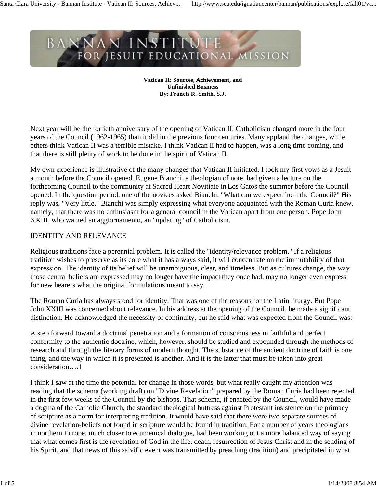**Vatican II: Sources, Achievement, and Unfinished Business By: Francis R. Smith, S.J.**

Next year will be the fortieth anniversary of the opening of Vatican II. Catholicism changed more in the four years of the Council (1962-1965) than it did in the previous four centuries. Many applaud the changes, while others think Vatican II was a terrible mistake. I think Vatican II had to happen, was a long time coming, and that there is still plenty of work to be done in the spirit of Vatican II.

My own experience is illustrative of the many changes that Vatican II initiated. I took my first vows as a Jesuit a month before the Council opened. Eugene Bianchi, a theologian of note, had given a lecture on the forthcoming Council to the community at Sacred Heart Novitiate in Los Gatos the summer before the Council opened. In the question period, one of the novices asked Bianchi, "What can we expect from the Council?" His reply was, "Very little." Bianchi was simply expressing what everyone acquainted with the Roman Curia knew, namely, that there was no enthusiasm for a general council in the Vatican apart from one person, Pope John XXIII, who wanted an aggiornamento, an "updating" of Catholicism.

# IDENTITY AND RELEVANCE

Religious traditions face a perennial problem. It is called the "identity/relevance problem." If a religious tradition wishes to preserve as its core what it has always said, it will concentrate on the immutability of that expression. The identity of its belief will be unambiguous, clear, and timeless. But as cultures change, the way those central beliefs are expressed may no longer have the impact they once had, may no longer even express for new hearers what the original formulations meant to say.

The Roman Curia has always stood for identity. That was one of the reasons for the Latin liturgy. But Pope John XXIII was concerned about relevance. In his address at the opening of the Council, he made a significant distinction. He acknowledged the necessity of continuity, but he said what was expected from the Council was:

A step forward toward a doctrinal penetration and a formation of consciousness in faithful and perfect conformity to the authentic doctrine, which, however, should be studied and expounded through the methods of research and through the literary forms of modern thought. The substance of the ancient doctrine of faith is one thing, and the way in which it is presented is another. And it is the latter that must be taken into great consideration….1

I think I saw at the time the potential for change in those words, but what really caught my attention was reading that the schema (working draft) on "Divine Revelation" prepared by the Roman Curia had been rejected in the first few weeks of the Council by the bishops. That schema, if enacted by the Council, would have made a dogma of the Catholic Church, the standard theological buttress against Protestant insistence on the primacy of scripture as a norm for interpreting tradition. It would have said that there were two separate sources of divine revelation-beliefs not found in scripture would be found in tradition. For a number of years theologians in northern Europe, much closer to ecumenical dialogue, had been working out a more balanced way of saying that what comes first is the revelation of God in the life, death, resurrection of Jesus Christ and in the sending of his Spirit, and that news of this salvific event was transmitted by preaching (tradition) and precipitated in what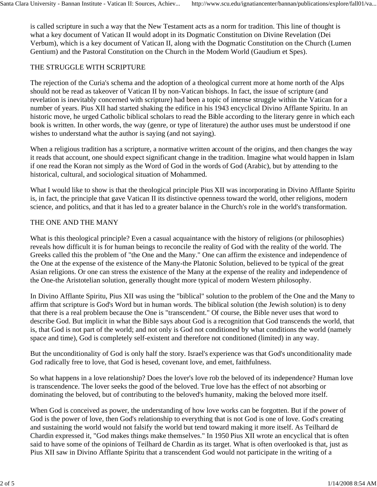is called scripture in such a way that the New Testament acts as a norm for tradition. This line of thought is what a key document of Vatican II would adopt in its Dogmatic Constitution on Divine Revelation (Dei Verbum), which is a key document of Vatican II, along with the Dogmatic Constitution on the Church (Lumen Gentium) and the Pastoral Constitution on the Church in the Modern World (Gaudium et Spes).

### THE STRUGGLE WITH SCRIPTURE

The rejection of the Curia's schema and the adoption of a theological current more at home north of the Alps should not be read as takeover of Vatican II by non-Vatican bishops. In fact, the issue of scripture (and revelation is inevitably concerned with scripture) had been a topic of intense struggle within the Vatican for a number of years. Pius XII had started shaking the edifice in his 1943 encyclical Divino Afflante Spiritu. In an historic move, he urged Catholic biblical scholars to read the Bible according to the literary genre in which each book is written. In other words, the way (genre, or type of literature) the author uses must be understood if one wishes to understand what the author is saying (and not saying).

When a religious tradition has a scripture, a normative written account of the origins, and then changes the way it reads that account, one should expect significant change in the tradition. Imagine what would happen in Islam if one read the Koran not simply as the Word of God in the words of God (Arabic), but by attending to the historical, cultural, and sociological situation of Mohammed.

What I would like to show is that the theological principle Pius XII was incorporating in Divino Afflante Spiritu is, in fact, the principle that gave Vatican II its distinctive openness toward the world, other religions, modern science, and politics, and that it has led to a greater balance in the Church's role in the world's transformation.

### THE ONE AND THE MANY

What is this theological principle? Even a casual acquaintance with the history of religions (or philosophies) reveals how difficult it is for human beings to reconcile the reality of God with the reality of the world. The Greeks called this the problem of "the One and the Many." One can affirm the existence and independence of the One at the expense of the existence of the Many-the Platonic Solution, believed to be typical of the great Asian religions. Or one can stress the existence of the Many at the expense of the reality and independence of the One-the Aristotelian solution, generally thought more typical of modern Western philosophy.

In Divino Afflante Spiritu, Pius XII was using the "biblical" solution to the problem of the One and the Many to affirm that scripture is God's Word but in human words. The biblical solution (the Jewish solution) is to deny that there is a real problem because the One is "transcendent." Of course, the Bible never uses that word to describe God. But implicit in what the Bible says about God is a recognition that God transcends the world, that is, that God is not part of the world; and not only is God not conditioned by what conditions the world (namely space and time), God is completely self-existent and therefore not conditioned (limited) in any way.

But the unconditionality of God is only half the story. Israel's experience was that God's unconditionality made God radically free to love, that God is hesed, covenant love, and emet, faithfulness.

So what happens in a love relationship? Does the lover's love rob the beloved of its independence? Human love is transcendence. The lover seeks the good of the beloved. True love has the effect of not absorbing or dominating the beloved, but of contributing to the beloved's humanity, making the beloved more itself.

When God is conceived as power, the understanding of how love works can be forgotten. But if the power of God is the power of love, then God's relationship to everything that is not God is one of love. God's creating and sustaining the world would not falsify the world but tend toward making it more itself. As Teilhard de Chardin expressed it, "God makes things make themselves." In 1950 Pius XII wrote an encyclical that is often said to have some of the opinions of Teilhard de Chardin as its target. What is often overlooked is that, just as Pius XII saw in Divino Afflante Spiritu that a transcendent God would not participate in the writing of a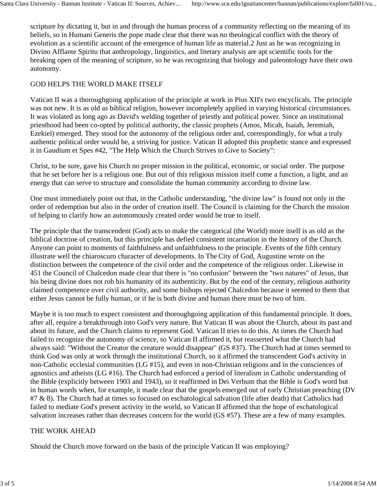scripture by dictating it, but in and through the human process of a community reflecting on the meaning of its beliefs, so in Humani Generis the pope made clear that there was no theological conflict with the theory of evolution as a scientific account of the emergence of human life as material.2 Just as he was recognizing in Divino Afflante Spiritu that anthropology, linguistics, and literary analysis are apt scientific tools for the breaking open of the meaning of scripture, so he was recognizing that biology and paleontology have their own autonomy.

# GOD HELPS THE WORLD MAKE ITSELF

Vatican II was a thoroughgoing application of the principle at work in Pius XII's two encyclicals. The principle was not new. It is as old as biblical religion, however incompletely applied in varying historical circumstances. It was violated as long ago as David's welding together of priestly and political power. Since an institutional priesthood had been co-opted by political authority, the classic prophets (Amos, Micah, Isaiah, Jeremiah, Ezekiel) emerged. They stood for the autonomy of the religious order and, correspondingly, for what a truly authentic political order would be, a striving for justice. Vatican II adopted this prophetic stance and expressed it in Gaudium et Spes #42, "The Help Which the Church Strives to Give to Society":

Christ, to be sure, gave his Church no proper mission in the political, economic, or social order. The purpose that he set before her is a religious one. But out of this religious mission itself come a function, a light, and an energy that can serve to structure and consolidate the human community according to divine law.

One must immediately point out that, in the Catholic understanding, "the divine law" is found not only in the order of redemption but also in the order of creation itself. The Council is claiming for the Church the mission of helping to clarify how an autonomously created order would be true to itself.

The principle that the transcendent (God) acts to make the categorical (the World) more itself is as old as the biblical doctrine of creation, but this principle has defied consistent incarnation in the history of the Church. Anyone can point to moments of faithfulness and unfaithfulness to the principle. Events of the fifth century illustrate well the chiaroscuro character of developments. In The City of God, Augustine wrote on the distinction between the competence of the civil order and the competence of the religious order. Likewise in 451 the Council of Chalcedon made clear that there is "no confusion" between the "two natures" of Jesus, that his being divine does not rob his humanity of its authenticity. But by the end of the century, religious authority claimed competence over civil authority, and some bishops rejected Chalcedon because it seemed to them that either Jesus cannot be fully human, or if he is both divine and human there must be two of him.

Maybe it is too much to expect consistent and thoroughgoing application of this fundamental principle. It does, after all, require a breakthrough into God's very nature. But Vatican II was about the Church, about its past and about its future, and the Church claims to represent God. Vatican II tries to do this. At times the Church had failed to recognize the autonomy of science, so Vatican II affirmed it, but reasserted what the Church had always said: "Without the Creator the creature would disappear" (GS #37). The Church had at times seemed to think God was only at work through the institutional Church, so it affirmed the transcendent God's activity in non-Catholic ecclesial communities (LG #15), and even in non-Christian religions and in the consciences of agnostics and atheists (LG #16). The Church had enforced a period of literalism in Catholic understanding of the Bible (explicitly between 1903 and 1943), so it reaffirmed in Dei Verbum that the Bible is God's word but in human words when, for example, it made clear that the gospels emerged out of early Christian preaching (DV #7 & 8). The Church had at times so focused on eschatological salvation (life after death) that Catholics had failed to mediate God's present activity in the world, so Vatican II affirmed that the hope of eschatological salvation increases rather than decreases concern for the world (GS #57). These are a few of many examples.

# THE WORK AHEAD

Should the Church move forward on the basis of the principle Vatican II was employing?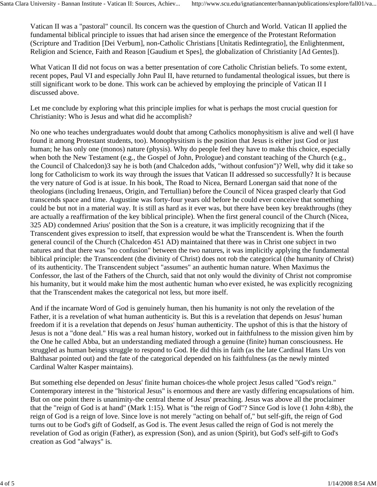Vatican II was a "pastoral" council. Its concern was the question of Church and World. Vatican II applied the fundamental biblical principle to issues that had arisen since the emergence of the Protestant Reformation (Scripture and Tradition [Dei Verbum], non-Catholic Christians [Unitatis Redintegratio], the Enlightenment, Religion and Science, Faith and Reason [Gaudium et Spes], the globalization of Christianity [Ad Gentes]).

What Vatican II did not focus on was a better presentation of core Catholic Christian beliefs. To some extent, recent popes, Paul VI and especially John Paul II, have returned to fundamental theological issues, but there is still significant work to be done. This work can be achieved by employing the principle of Vatican II I discussed above.

Let me conclude by exploring what this principle implies for what is perhaps the most crucial question for Christianity: Who is Jesus and what did he accomplish?

No one who teaches undergraduates would doubt that among Catholics monophysitism is alive and well (I have found it among Protestant students, too). Monophysitism is the position that Jesus is either just God or just human; he has only one (monos) nature (physis). Why do people feel they have to make this choice, especially when both the New Testament (e.g., the Gospel of John, Prologue) and constant teaching of the Church (e.g., the Council of Chalcedon)3 say he is both (and Chalcedon adds, "without confusion")? Well, why did it take so long for Catholicism to work its way through the issues that Vatican II addressed so successfully? It is because the very nature of God is at issue. In his book, The Road to Nicea, Bernard Lonergan said that none of the theologians (including Irenaeus, Origin, and Tertullian) before the Council of Nicea grasped clearly that God transcends space and time. Augustine was forty-four years old before he could ever conceive that something could be but not in a material way. It is still as hard as it ever was, but there have been key breakthroughs (they are actually a reaffirmation of the key biblical principle). When the first general council of the Church (Nicea, 325 AD) condemned Arius' position that the Son is a creature, it was implicitly recognizing that if the Transcendent gives expression to itself, that expression would be what the Transcendent is. When the fourth general council of the Church (Chalcedon 451 AD) maintained that there was in Christ one subject in two natures and that there was "no confusion" between the two natures, it was implicitly applying the fundamental biblical principle: the Transcendent (the divinity of Christ) does not rob the categorical (the humanity of Christ) of its authenticity. The Transcendent subject "assumes" an authentic human nature. When Maximus the Confessor, the last of the Fathers of the Church, said that not only would the divinity of Christ not compromise his humanity, but it would make him the most authentic human who ever existed, he was explicitly recognizing that the Transcendent makes the categorical not less, but more itself.

And if the incarnate Word of God is genuinely human, then his humanity is not only the revelation of the Father, it is a revelation of what human authenticity is. But this is a revelation that depends on Jesus' human freedom if it is a revelation that depends on Jesus' human authenticity. The upshot of this is that the history of Jesus is not a "done deal." His was a real human history, worked out in faithfulness to the mission given him by the One he called Abba, but an understanding mediated through a genuine (finite) human consciousness. He struggled as human beings struggle to respond to God. He did this in faith (as the late Cardinal Hans Urs von Balthasar pointed out) and the fate of the categorical depended on his faithfulness (as the newly minted Cardinal Walter Kasper maintains).

But something else depended on Jesus' finite human choices-the whole project Jesus called "God's reign." Contemporary interest in the "historical Jesus" is enormous and there are vastly differing encapsulations of him. But on one point there is unanimity-the central theme of Jesus' preaching. Jesus was above all the proclaimer that the "reign of God is at hand" (Mark 1:15). What is "the reign of God"? Since God is love (1 John 4:8b), the reign of God is a reign of love. Since love is not merely "acting on behalf of," but self-gift, the reign of God turns out to be God's gift of Godself, as God is. The event Jesus called the reign of God is not merely the revelation of God as origin (Father), as expression (Son), and as union (Spirit), but God's self-gift to God's creation as God "always" is.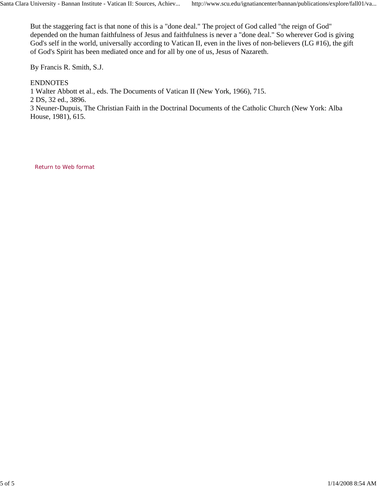But the staggering fact is that none of this is a "done deal." The project of God called "the reign of God" depended on the human faithfulness of Jesus and faithfulness is never a "done deal." So wherever God is giving God's self in the world, universally according to Vatican II, even in the lives of non-believers (LG #16), the gift of God's Spirit has been mediated once and for all by one of us, Jesus of Nazareth.

By Francis R. Smith, S.J.

# ENDNOTES

1 Walter Abbott et al., eds. The Documents of Vatican II (New York, 1966), 715.

2 DS, 32 ed., 3896.

3 Neuner-Dupuis, The Christian Faith in the Doctrinal Documents of the Catholic Church (New York: Alba House, 1981), 615.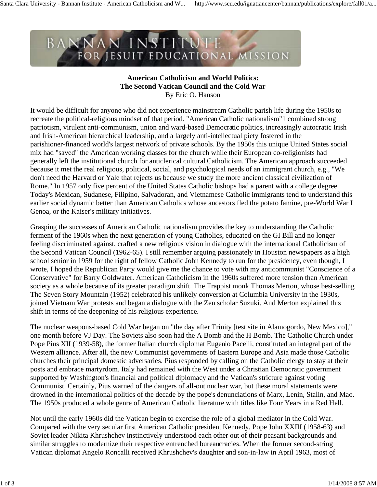#### **American Catholicism and World Politics: The Second Vatican Council and the Cold War** By Eric O. Hanson

It would be difficult for anyone who did not experience mainstream Catholic parish life during the 1950s to recreate the political-religious mindset of that period. "American Catholic nationalism"1 combined strong patriotism, virulent anti-communism, union and ward-based Democratic politics, increasingly autocratic Irish and Irish-American hierarchical leadership, and a largely anti-intellectual piety fostered in the parishioner-financed world's largest network of private schools. By the 1950s this unique United States social mix had "saved" the American working classes for the church while their European co-religionists had generally left the institutional church for anticlerical cultural Catholicism. The American approach succeeded because it met the real religious, political, social, and psychological needs of an immigrant church, e.g., "We don't need the Harvard or Yale that rejects us because we study the more ancient classical civilization of Rome." In 1957 only five percent of the United States Catholic bishops had a parent with a college degree. Today's Mexican, Sudanese, Filipino, Salvadoran, and Vietnamese Catholic immigrants tend to understand this earlier social dynamic better than American Catholics whose ancestors fled the potato famine, pre-World War I Genoa, or the Kaiser's military initiatives.

Grasping the successes of American Catholic nationalism provides the key to understanding the Catholic ferment of the 1960s when the next generation of young Catholics, educated on the GI Bill and no longer feeling discriminated against, crafted a new religious vision in dialogue with the international Catholicism of the Second Vatican Council (1962-65). I still remember arguing passionately in Houston newspapers as a high school senior in 1959 for the right of fellow Catholic John Kennedy to run for the presidency, even though, I wrote, I hoped the Republican Party would give me the chance to vote with my anticommunist "Conscience of a Conservative" for Barry Goldwater. American Catholicism in the 1960s suffered more tension than American society as a whole because of its greater paradigm shift. The Trappist monk Thomas Merton, whose best-selling The Seven Story Mountain (1952) celebrated his unlikely conversion at Columbia University in the 1930s, joined Vietnam War protests and began a dialogue with the Zen scholar Suzuki. And Merton explained this shift in terms of the deepening of his religious experience.

The nuclear weapons-based Cold War began on "the day after Trinity [test site in Alamogordo, New Mexico]," one month before VJ Day. The Soviets also soon had the A Bomb and the H Bomb. The Catholic Church under Pope Pius XII (1939-58), the former Italian church diplomat Eugenio Pacelli, constituted an integral part of the Western alliance. After all, the new Communist governments of Eastern Europe and Asia made those Catholic churches their principal domestic adversaries. Pius responded by calling on the Catholic clergy to stay at their posts and embrace martyrdom. Italy had remained with the West under a Christian Democratic government supported by Washington's financial and political diplomacy and the Vatican's stricture against voting Communist. Certainly, Pius warned of the dangers of all-out nuclear war, but these moral statements were drowned in the international politics of the decade by the pope's denunciations of Marx, Lenin, Stalin, and Mao. The 1950s produced a whole genre of American Catholic literature with titles like Four Years in a Red Hell.

Not until the early 1960s did the Vatican begin to exercise the role of a global mediator in the Cold War. Compared with the very secular first American Catholic president Kennedy, Pope John XXIII (1958-63) and Soviet leader Nikita Khrushchev instinctively understood each other out of their peasant backgrounds and similar struggles to modernize their respective entrenched bureaucracies. When the former second-string Vatican diplomat Angelo Roncalli received Khrushchev's daughter and son-in-law in April 1963, most of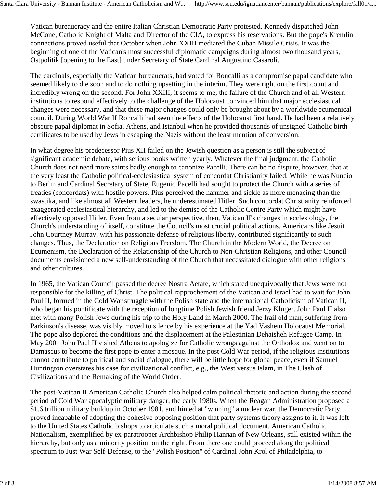Vatican bureaucracy and the entire Italian Christian Democratic Party protested. Kennedy dispatched John McCone, Catholic Knight of Malta and Director of the CIA, to express his reservations. But the pope's Kremlin connections proved useful that October when John XXIII mediated the Cuban Missile Crisis. It was the beginning of one of the Vatican's most successful diplomatic campaigns during almost two thousand years, Ostpolitik [opening to the East] under Secretary of State Cardinal Augustino Casaroli.

The cardinals, especially the Vatican bureaucrats, had voted for Roncalli as a compromise papal candidate who seemed likely to die soon and to do nothing upsetting in the interim. They were right on the first count and incredibly wrong on the second. For John XXIII, it seems to me, the failure of the Church and of all Western institutions to respond effectively to the challenge of the Holocaust convinced him that major ecclesiastical changes were necessary, and that these major changes could only be brought about by a worldwide ecumenical council. During World War II Roncalli had seen the effects of the Holocaust first hand. He had been a relatively obscure papal diplomat in Sofia, Athens, and Istanbul when he provided thousands of unsigned Catholic birth certificates to be used by Jews in escaping the Nazis without the least mention of conversion.

In what degree his predecessor Pius XII failed on the Jewish question as a person is still the subject of significant academic debate, with serious books written yearly. Whatever the final judgment, the Catholic Church does not need more saints badly enough to canonize Pacelli. There can be no dispute, however, that at the very least the Catholic political-ecclesiastical system of concordat Christianity failed. While he was Nuncio to Berlin and Cardinal Secretary of State, Eugenio Pacelli had sought to protect the Church with a series of treaties (concordats) with hostile powers. Pius perceived the hammer and sickle as more menacing than the swastika, and like almost all Western leaders, he underestimated Hitler. Such concordat Christianity reinforced exaggerated ecclesiastical hierarchy, and led to the demise of the Catholic Centre Party which might have effectively opposed Hitler. Even from a secular perspective, then, Vatican II's changes in ecclesiology, the Church's understanding of itself, constitute the Council's most crucial political actions. Americans like Jesuit John Courtney Murray, with his passionate defense of religious liberty, contributed significantly to such changes. Thus, the Declaration on Religious Freedom, The Church in the Modern World, the Decree on Ecumenism, the Declaration of the Relationship of the Church to Non-Christian Religions, and other Council documents envisioned a new self-understanding of the Church that necessitated dialogue with other religions and other cultures.

In 1965, the Vatican Council passed the decree Nostra Aetate, which stated unequivocally that Jews were not responsible for the killing of Christ. The political rapprochement of the Vatican and Israel had to wait for John Paul II, formed in the Cold War struggle with the Polish state and the international Catholicism of Vatican II, who began his pontificate with the reception of longtime Polish Jewish friend Jerzy Kluger. John Paul II also met with many Polish Jews during his trip to the Holy Land in March 2000. The frail old man, suffering from Parkinson's disease, was visibly moved to silence by his experience at the Yad Vashem Holocaust Memorial. The pope also deplored the conditions and the displacement at the Palestinian Dehaisheh Refugee Camp. In May 2001 John Paul II visited Athens to apologize for Catholic wrongs against the Orthodox and went on to Damascus to become the first pope to enter a mosque. In the post-Cold War period, if the religious institutions cannot contribute to political and social dialogue, there will be little hope for global peace, even if Samuel Huntington overstates his case for civilizational conflict, e.g., the West versus Islam, in The Clash of Civilizations and the Remaking of the World Order.

The post-Vatican II American Catholic Church also helped calm political rhetoric and action during the second period of Cold War apocalyptic military danger, the early 1980s. When the Reagan Administration proposed a \$1.6 trillion military buildup in October 1981, and hinted at "winning" a nuclear war, the Democratic Party proved incapable of adopting the cohesive opposing position that party systems theory assigns to it. It was left to the United States Catholic bishops to articulate such a moral political document. American Catholic Nationalism, exemplified by ex-paratrooper Archbishop Philip Hannan of New Orleans, still existed within the hierarchy, but only as a minority position on the right. From there one could proceed along the political spectrum to Just War Self-Defense, to the "Polish Position" of Cardinal John Krol of Philadelphia, to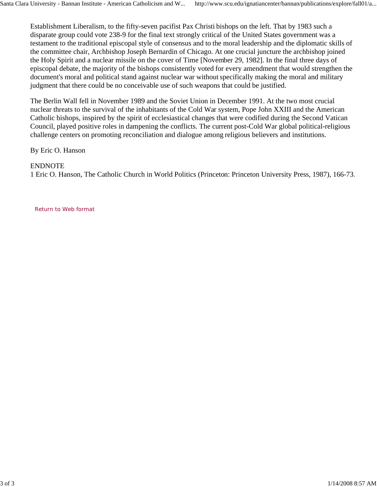Establishment Liberalism, to the fifty-seven pacifist Pax Christi bishops on the left. That by 1983 such a disparate group could vote 238-9 for the final text strongly critical of the United States government was a testament to the traditional episcopal style of consensus and to the moral leadership and the diplomatic skills of the committee chair, Archbishop Joseph Bernardin of Chicago. At one crucial juncture the archbishop joined the Holy Spirit and a nuclear missile on the cover of Time [November 29, 1982]. In the final three days of episcopal debate, the majority of the bishops consistently voted for every amendment that would strengthen the document's moral and political stand against nuclear war without specifically making the moral and military judgment that there could be no conceivable use of such weapons that could be justified.

The Berlin Wall fell in November 1989 and the Soviet Union in December 1991. At the two most crucial nuclear threats to the survival of the inhabitants of the Cold War system, Pope John XXIII and the American Catholic bishops, inspired by the spirit of ecclesiastical changes that were codified during the Second Vatican Council, played positive roles in dampening the conflicts. The current post-Cold War global political-religious challenge centers on promoting reconciliation and dialogue among religious believers and institutions.

By Eric O. Hanson

### ENDNOTE

1 Eric O. Hanson, The Catholic Church in World Politics (Princeton: Princeton University Press, 1987), 166-73.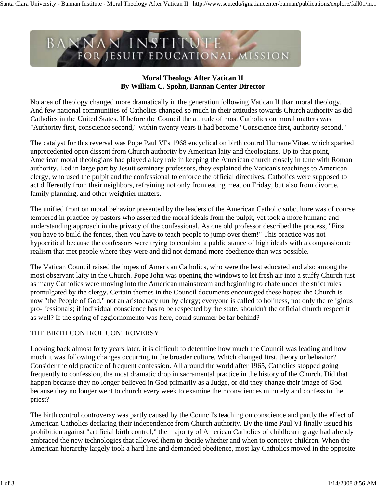

# **Moral Theology After Vatican II By William C. Spohn, Bannan Center Director**

No area of theology changed more dramatically in the generation following Vatican II than moral theology. And few national communities of Catholics changed so much in their attitudes towards Church authority as did Catholics in the United States. If before the Council the attitude of most Catholics on moral matters was "Authority first, conscience second," within twenty years it had become "Conscience first, authority second."

The catalyst for this reversal was Pope Paul VI's 1968 encyclical on birth control Humane Vitae, which sparked unprecedented open dissent from Church authority by American laity and theologians. Up to that point, American moral theologians had played a key role in keeping the American church closely in tune with Roman authority. Led in large part by Jesuit seminary professors, they explained the Vatican's teachings to American clergy, who used the pulpit and the confessional to enforce the official directives. Catholics were supposed to act differently from their neighbors, refraining not only from eating meat on Friday, but also from divorce, family planning, and other weightier matters.

The unified front on moral behavior presented by the leaders of the American Catholic subculture was of course tempered in practice by pastors who asserted the moral ideals from the pulpit, yet took a more humane and understanding approach in the privacy of the confessional. As one old professor described the process, "First you have to build the fences, then you have to teach people to jump over them!" This practice was not hypocritical because the confessors were trying to combine a public stance of high ideals with a compassionate realism that met people where they were and did not demand more obedience than was possible.

The Vatican Council raised the hopes of American Catholics, who were the best educated and also among the most observant laity in the Church. Pope John was opening the windows to let fresh air into a stuffy Church just as many Catholics were moving into the American mainstream and beginning to chafe under the strict rules promulgated by the clergy. Certain themes in the Council documents encouraged these hopes: the Church is now "the People of God," not an aristocracy run by clergy; everyone is called to holiness, not only the religious pro- fessionals; if individual conscience has to be respected by the state, shouldn't the official church respect it as well? If the spring of aggiornomento was here, could summer be far behind?

# THE BIRTH CONTROL CONTROVERSY

Looking back almost forty years later, it is difficult to determine how much the Council was leading and how much it was following changes occurring in the broader culture. Which changed first, theory or behavior? Consider the old practice of frequent confession. All around the world after 1965, Catholics stopped going frequently to confession, the most dramatic drop in sacramental practice in the history of the Church. Did that happen because they no longer believed in God primarily as a Judge, or did they change their image of God because they no longer went to church every week to examine their consciences minutely and confess to the priest?

The birth control controversy was partly caused by the Council's teaching on conscience and partly the effect of American Catholics declaring their independence from Church authority. By the time Paul VI finally issued his prohibition against "artificial birth control," the majority of American Catholics of childbearing age had already embraced the new technologies that allowed them to decide whether and when to conceive children. When the American hierarchy largely took a hard line and demanded obedience, most lay Catholics moved in the opposite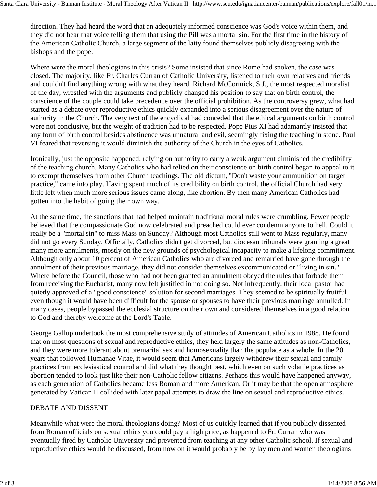direction. They had heard the word that an adequately informed conscience was God's voice within them, and they did not hear that voice telling them that using the Pill was a mortal sin. For the first time in the history of the American Catholic Church, a large segment of the laity found themselves publicly disagreeing with the bishops and the pope.

Where were the moral theologians in this crisis? Some insisted that since Rome had spoken, the case was closed. The majority, like Fr. Charles Curran of Catholic University, listened to their own relatives and friends and couldn't find anything wrong with what they heard. Richard McCormick, S.J., the most respected moralist of the day, wrestled with the arguments and publicly changed his position to say that on birth control, the conscience of the couple could take precedence over the official prohibition. As the controversy grew, what had started as a debate over reproductive ethics quickly expanded into a serious disagreement over the nature of authority in the Church. The very text of the encyclical had conceded that the ethical arguments on birth control were not conclusive, but the weight of tradition had to be respected. Pope Pius XI had adamantly insisted that any form of birth control besides abstinence was unnatural and evil, seemingly fixing the teaching in stone. Paul VI feared that reversing it would diminish the authority of the Church in the eyes of Catholics.

Ironically, just the opposite happened: relying on authority to carry a weak argument diminished the credibility of the teaching church. Many Catholics who had relied on their conscience on birth control began to appeal to it to exempt themselves from other Church teachings. The old dictum, "Don't waste your ammunition on target practice," came into play. Having spent much of its credibility on birth control, the official Church had very little left when much more serious issues came along, like abortion. By then many American Catholics had gotten into the habit of going their own way.

At the same time, the sanctions that had helped maintain traditional moral rules were crumbling. Fewer people believed that the compassionate God now celebrated and preached could ever condemn anyone to hell. Could it really be a "mortal sin" to miss Mass on Sunday? Although most Catholics still went to Mass regularly, many did not go every Sunday. Officially, Catholics didn't get divorced, but diocesan tribunals were granting a great many more annulments, mostly on the new grounds of psychological incapacity to make a lifelong commitment. Although only about 10 percent of American Catholics who are divorced and remarried have gone through the annulment of their previous marriage, they did not consider themselves excommunicated or "living in sin." Where before the Council, those who had not been granted an annulment obeyed the rules that forbade them from receiving the Eucharist, many now felt justified in not doing so. Not infrequently, their local pastor had quietly approved of a "good conscience" solution for second marriages. They seemed to be spiritually fruitful even though it would have been difficult for the spouse or spouses to have their previous marriage annulled. In many cases, people bypassed the ecclesial structure on their own and considered themselves in a good relation to God and thereby welcome at the Lord's Table.

George Gallup undertook the most comprehensive study of attitudes of American Catholics in 1988. He found that on most questions of sexual and reproductive ethics, they held largely the same attitudes as non-Catholics, and they were more tolerant about premarital sex and homosexuality than the populace as a whole. In the 20 years that followed Humanae Vitae, it would seem that Americans largely withdrew their sexual and family practices from ecclesiastical control and did what they thought best, which even on such volatile practices as abortion tended to look just like their non-Catholic fellow citizens. Perhaps this would have happened anyway, as each generation of Catholics became less Roman and more American. Or it may be that the open atmosphere generated by Vatican II collided with later papal attempts to draw the line on sexual and reproductive ethics.

# DEBATE AND DISSENT

Meanwhile what were the moral theologians doing? Most of us quickly learned that if you publicly dissented from Roman officials on sexual ethics you could pay a high price, as happened to Fr. Curran who was eventually fired by Catholic University and prevented from teaching at any other Catholic school. If sexual and reproductive ethics would be discussed, from now on it would probably be by lay men and women theologians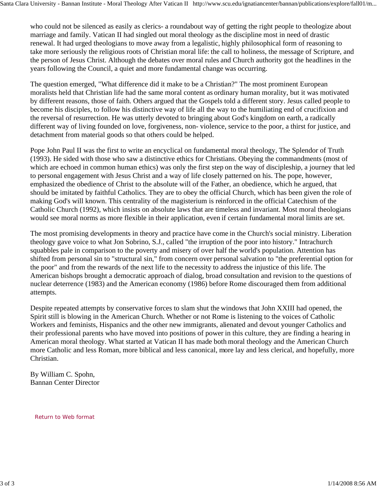who could not be silenced as easily as clerics- a roundabout way of getting the right people to theologize about marriage and family. Vatican II had singled out moral theology as the discipline most in need of drastic renewal. It had urged theologians to move away from a legalistic, highly philosophical form of reasoning to take more seriously the religious roots of Christian moral life: the call to holiness, the message of Scripture, and the person of Jesus Christ. Although the debates over moral rules and Church authority got the headlines in the years following the Council, a quiet and more fundamental change was occurring.

The question emerged, "What difference did it make to be a Christian?" The most prominent European moralists held that Christian life had the same moral content as ordinary human morality, but it was motivated by different reasons, those of faith. Others argued that the Gospels told a different story. Jesus called people to become his disciples, to follow his distinctive way of life all the way to the humiliating end of crucifixion and the reversal of resurrection. He was utterly devoted to bringing about God's kingdom on earth, a radically different way of living founded on love, forgiveness, non- violence, service to the poor, a thirst for justice, and detachment from material goods so that others could be helped.

Pope John Paul II was the first to write an encyclical on fundamental moral theology, The Splendor of Truth (1993). He sided with those who saw a distinctive ethics for Christians. Obeying the commandments (most of which are echoed in common human ethics) was only the first step on the way of discipleship, a journey that led to personal engagement with Jesus Christ and a way of life closely patterned on his. The pope, however, emphasized the obedience of Christ to the absolute will of the Father, an obedience, which he argued, that should be imitated by faithful Catholics. They are to obey the official Church, which has been given the role of making God's will known. This centrality of the magisterium is reinforced in the official Catechism of the Catholic Church (1992), which insists on absolute laws that are timeless and invariant. Most moral theologians would see moral norms as more flexible in their application, even if certain fundamental moral limits are set.

The most promising developments in theory and practice have come in the Church's social ministry. Liberation theology gave voice to what Jon Sobrino, S.J., called "the irruption of the poor into history." Intrachurch squabbles pale in comparison to the poverty and misery of over half the world's population. Attention has shifted from personal sin to "structural sin," from concern over personal salvation to "the preferential option for the poor" and from the rewards of the next life to the necessity to address the injustice of this life. The American bishops brought a democratic approach of dialog, broad consultation and revision to the questions of nuclear deterrence (1983) and the American economy (1986) before Rome discouraged them from additional attempts.

Despite repeated attempts by conservative forces to slam shut the windows that John XXIII had opened, the Spirit still is blowing in the American Church. Whether or not Rome is listening to the voices of Catholic Workers and feminists, Hispanics and the other new immigrants, alienated and devout younger Catholics and their professional parents who have moved into positions of power in this culture, they are finding a hearing in American moral theology. What started at Vatican II has made both moral theology and the American Church more Catholic and less Roman, more biblical and less canonical, more lay and less clerical, and hopefully, more Christian.

By William C. Spohn, Bannan Center Director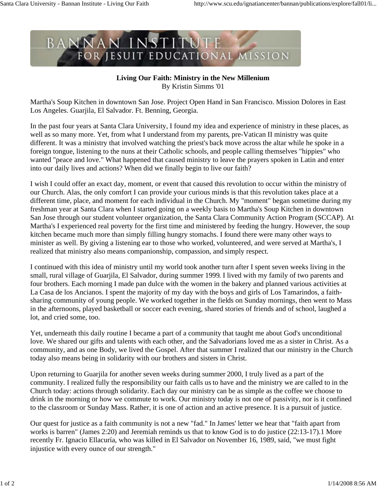### **Living Our Faith: Ministry in the New Millenium** By Kristin Simms '01

Martha's Soup Kitchen in downtown San Jose. Project Open Hand in San Francisco. Mission Dolores in East Los Angeles. Guarjila, El Salvador. Ft. Benning, Georgia.

In the past four years at Santa Clara University, I found my idea and experience of ministry in these places, as well as so many more. Yet, from what I understand from my parents, pre-Vatican II ministry was quite different. It was a ministry that involved watching the priest's back move across the altar while he spoke in a foreign tongue, listening to the nuns at their Catholic schools, and people calling themselves "hippies" who wanted "peace and love." What happened that caused ministry to leave the prayers spoken in Latin and enter into our daily lives and actions? When did we finally begin to live our faith?

I wish I could offer an exact day, moment, or event that caused this revolution to occur within the ministry of our Church. Alas, the only comfort I can provide your curious minds is that this revolution takes place at a different time, place, and moment for each individual in the Church. My "moment" began sometime during my freshman year at Santa Clara when I started going on a weekly basis to Martha's Soup Kitchen in downtown San Jose through our student volunteer organization, the Santa Clara Community Action Program (SCCAP). At Martha's I experienced real poverty for the first time and ministered by feeding the hungry. However, the soup kitchen became much more than simply filling hungry stomachs. I found there were many other ways to minister as well. By giving a listening ear to those who worked, volunteered, and were served at Martha's, I realized that ministry also means companionship, compassion, and simply respect.

I continued with this idea of ministry until my world took another turn after I spent seven weeks living in the small, rural village of Guarjila, El Salvador, during summer 1999. I lived with my family of two parents and four brothers. Each morning I made pan dulce with the women in the bakery and planned various activities at La Casa de los Ancianos. I spent the majority of my day with the boys and girls of Los Tamarindos, a faithsharing community of young people. We worked together in the fields on Sunday mornings, then went to Mass in the afternoons, played basketball or soccer each evening, shared stories of friends and of school, laughed a lot, and cried some, too.

Yet, underneath this daily routine I became a part of a community that taught me about God's unconditional love. We shared our gifts and talents with each other, and the Salvadorians loved me as a sister in Christ. As a community, and as one Body, we lived the Gospel. After that summer I realized that our ministry in the Church today also means being in solidarity with our brothers and sisters in Christ.

Upon returning to Guarjila for another seven weeks during summer 2000, I truly lived as a part of the community. I realized fully the responsibility our faith calls us to have and the ministry we are called to in the Church today: actions through solidarity. Each day our ministry can be as simple as the coffee we choose to drink in the morning or how we commute to work. Our ministry today is not one of passivity, nor is it confined to the classroom or Sunday Mass. Rather, it is one of action and an active presence. It is a pursuit of justice.

Our quest for justice as a faith community is not a new "fad." In James' letter we hear that "faith apart from works is barren" (James 2:20) and Jeremiah reminds us that to know God is to do justice (22:13-17).1 More recently Fr. Ignacio Ellacuría, who was killed in El Salvador on November 16, 1989, said, "we must fight injustice with every ounce of our strength."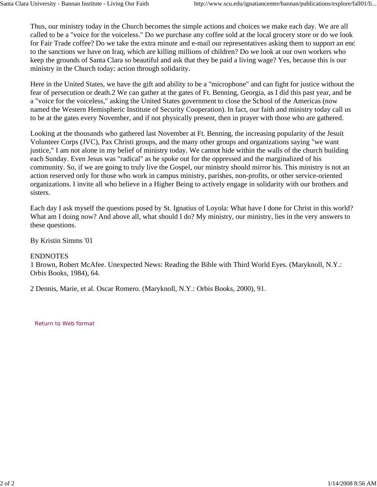Thus, our ministry today in the Church becomes the simple actions and choices we make each day. We are all called to be a "voice for the voiceless." Do we purchase any coffee sold at the local grocery store or do we look for Fair Trade coffee? Do we take the extra minute and e-mail our representatives asking them to support an end to the sanctions we have on Iraq, which are killing millions of children? Do we look at our own workers who keep the grounds of Santa Clara so beautiful and ask that they be paid a living wage? Yes, because this is our ministry in the Church today: action through solidarity.

Here in the United States, we have the gift and ability to be a "microphone" and can fight for justice without the fear of persecution or death.2 We can gather at the gates of Ft. Benning, Georgia, as I did this past year, and be a "voice for the voiceless," asking the United States government to close the School of the Americas (now named the Western Hemispheric Institute of Security Cooperation). In fact, our faith and ministry today call us to be at the gates every November, and if not physically present, then in prayer with those who are gathered.

Looking at the thousands who gathered last November at Ft. Benning, the increasing popularity of the Jesuit Volunteer Corps (JVC), Pax Christi groups, and the many other groups and organizations saying "we want justice," I am not alone in my belief of ministry today. We cannot hide within the walls of the church building each Sunday. Even Jesus was "radical" as he spoke out for the oppressed and the marginalized of his community. So, if we are going to truly live the Gospel, our ministry should mirror his. This ministry is not an action reserved only for those who work in campus ministry, parishes, non-profits, or other service-oriented organizations. I invite all who believe in a Higher Being to actively engage in solidarity with our brothers and sisters.

Each day I ask myself the questions posed by St. Ignatius of Loyola: What have I done for Christ in this world? What am I doing now? And above all, what should I do? My ministry, our ministry, lies in the very answers to these questions.

By Kristin Simms '01

#### ENDNOTES

1 Brown, Robert McAfee. Unexpected News: Reading the Bible with Third World Eyes. (Maryknoll, N.Y.: Orbis Books, 1984), 64.

2 Dennis, Marie, et al. Oscar Romero. (Maryknoll, N.Y.: Orbis Books, 2000), 91.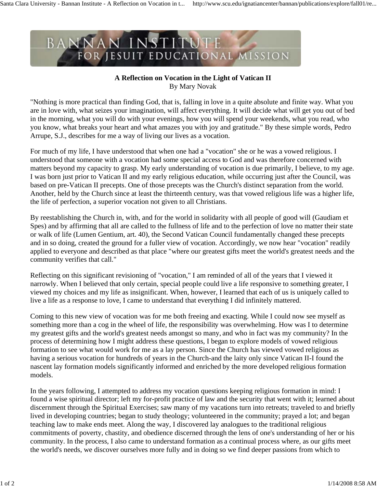#### **A Reflection on Vocation in the Light of Vatican II** By Mary Novak

"Nothing is more practical than finding God, that is, falling in love in a quite absolute and finite way. What you are in love with, what seizes your imagination, will affect everything. It will decide what will get you out of bed in the morning, what you will do with your evenings, how you will spend your weekends, what you read, who you know, what breaks your heart and what amazes you with joy and gratitude." By these simple words, Pedro Arrupe, S.J., describes for me a way of living our lives as a vocation.

For much of my life, I have understood that when one had a "vocation" she or he was a vowed religious. I understood that someone with a vocation had some special access to God and was therefore concerned with matters beyond my capacity to grasp. My early understanding of vocation is due primarily, I believe, to my age. I was born just prior to Vatican II and my early religious education, while occurring just after the Council, was based on pre-Vatican II precepts. One of those precepts was the Church's distinct separation from the world. Another, held by the Church since at least the thirteenth century, was that vowed religious life was a higher life, the life of perfection, a superior vocation not given to all Christians.

By reestablishing the Church in, with, and for the world in solidarity with all people of good will (Gaudiam et Spes) and by affirming that all are called to the fullness of life and to the perfection of love no matter their state or walk of life (Lumen Gentium, art. 40), the Second Vatican Council fundamentally changed these precepts and in so doing, created the ground for a fuller view of vocation. Accordingly, we now hear "vocation" readily applied to everyone and described as that place "where our greatest gifts meet the world's greatest needs and the community verifies that call."

Reflecting on this significant revisioning of "vocation," I am reminded of all of the years that I viewed it narrowly. When I believed that only certain, special people could live a life responsive to something greater, I viewed my choices and my life as insignificant. When, however, I learned that each of us is uniquely called to live a life as a response to love, I came to understand that everything I did infinitely mattered.

Coming to this new view of vocation was for me both freeing and exacting. While I could now see myself as something more than a cog in the wheel of life, the responsibility was overwhelming. How was I to determine my greatest gifts and the world's greatest needs amongst so many, and who in fact was my community? In the process of determining how I might address these questions, I began to explore models of vowed religious formation to see what would work for me as a lay person. Since the Church has viewed vowed religious as having a serious vocation for hundreds of years in the Church-and the laity only since Vatican II-I found the nascent lay formation models significantly informed and enriched by the more developed religious formation models.

In the years following, I attempted to address my vocation questions keeping religious formation in mind: I found a wise spiritual director; left my for-profit practice of law and the security that went with it; learned about discernment through the Spiritual Exercises; saw many of my vacations turn into retreats; traveled to and briefly lived in developing countries; began to study theology; volunteered in the community; prayed a lot; and began teaching law to make ends meet. Along the way, I discovered lay analogues to the traditional religious commitments of poverty, chastity, and obedience discerned through the lens of one's understanding of her or his community. In the process, I also came to understand formation as a continual process where, as our gifts meet the world's needs, we discover ourselves more fully and in doing so we find deeper passions from which to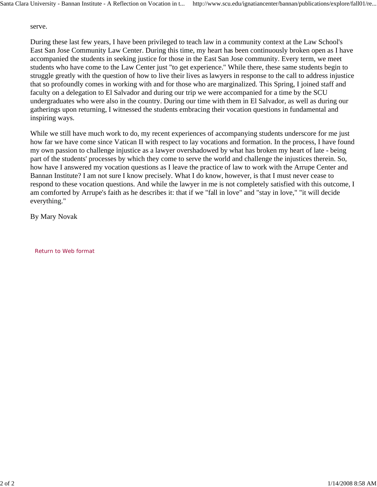serve.

During these last few years, I have been privileged to teach law in a community context at the Law School's East San Jose Community Law Center. During this time, my heart has been continuously broken open as I have accompanied the students in seeking justice for those in the East San Jose community. Every term, we meet students who have come to the Law Center just "to get experience." While there, these same students begin to struggle greatly with the question of how to live their lives as lawyers in response to the call to address injustice that so profoundly comes in working with and for those who are marginalized. This Spring, I joined staff and faculty on a delegation to El Salvador and during our trip we were accompanied for a time by the SCU undergraduates who were also in the country. During our time with them in El Salvador, as well as during our gatherings upon returning, I witnessed the students embracing their vocation questions in fundamental and inspiring ways.

While we still have much work to do, my recent experiences of accompanying students underscore for me just how far we have come since Vatican II with respect to lay vocations and formation. In the process, I have found my own passion to challenge injustice as a lawyer overshadowed by what has broken my heart of late - being part of the students' processes by which they come to serve the world and challenge the injustices therein. So, how have I answered my vocation questions as I leave the practice of law to work with the Arrupe Center and Bannan Institute? I am not sure I know precisely. What I do know, however, is that I must never cease to respond to these vocation questions. And while the lawyer in me is not completely satisfied with this outcome, I am comforted by Arrupe's faith as he describes it: that if we "fall in love" and "stay in love," "it will decide everything."

By Mary Novak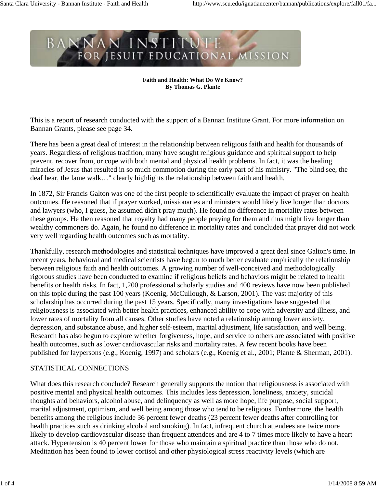#### **Faith and Health: What Do We Know? By Thomas G. Plante**

This is a report of research conducted with the support of a Bannan Institute Grant. For more information on Bannan Grants, please see page 34.

There has been a great deal of interest in the relationship between religious faith and health for thousands of years. Regardless of religious tradition, many have sought religious guidance and spiritual support to help prevent, recover from, or cope with both mental and physical health problems. In fact, it was the healing miracles of Jesus that resulted in so much commotion during the early part of his ministry. "The blind see, the deaf hear, the lame walk…" clearly highlights the relationship between faith and health.

In 1872, Sir Francis Galton was one of the first people to scientifically evaluate the impact of prayer on health outcomes. He reasoned that if prayer worked, missionaries and ministers would likely live longer than doctors and lawyers (who, I guess, he assumed didn't pray much). He found no difference in mortality rates between these groups. He then reasoned that royalty had many people praying for them and thus might live longer than wealthy commoners do. Again, he found no difference in mortality rates and concluded that prayer did not work very well regarding health outcomes such as mortality.

Thankfully, research methodologies and statistical techniques have improved a great deal since Galton's time. In recent years, behavioral and medical scientists have begun to much better evaluate empirically the relationship between religious faith and health outcomes. A growing number of well-conceived and methodologically rigorous studies have been conducted to examine if religious beliefs and behaviors might be related to health benefits or health risks. In fact, 1,200 professional scholarly studies and 400 reviews have now been published on this topic during the past 100 years (Koenig, McCullough, & Larson, 2001). The vast majority of this scholarship has occurred during the past 15 years. Specifically, many investigations have suggested that religiousness is associated with better health practices, enhanced ability to cope with adversity and illness, and lower rates of mortality from all causes. Other studies have noted a relationship among lower anxiety, depression, and substance abuse, and higher self-esteem, marital adjustment, life satisfaction, and well being. Research has also begun to explore whether forgiveness, hope, and service to others are associated with positive health outcomes, such as lower cardiovascular risks and mortality rates. A few recent books have been published for laypersons (e.g., Koenig, 1997) and scholars (e.g., Koenig et al., 2001; Plante & Sherman, 2001).

#### STATISTICAL CONNECTIONS

What does this research conclude? Research generally supports the notion that religiousness is associated with positive mental and physical health outcomes. This includes less depression, loneliness, anxiety, suicidal thoughts and behaviors, alcohol abuse, and delinquency as well as more hope, life purpose, social support, marital adjustment, optimism, and well being among those who tend to be religious. Furthermore, the health benefits among the religious include 36 percent fewer deaths (23 percent fewer deaths after controlling for health practices such as drinking alcohol and smoking). In fact, infrequent church attendees are twice more likely to develop cardiovascular disease than frequent attendees and are 4 to 7 times more likely to have a heart attack. Hypertension is 40 percent lower for those who maintain a spiritual practice than those who do not. Meditation has been found to lower cortisol and other physiological stress reactivity levels (which are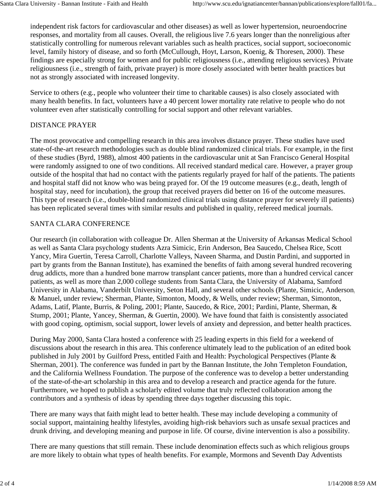independent risk factors for cardiovascular and other diseases) as well as lower hypertension, neuroendocrine responses, and mortality from all causes. Overall, the religious live 7.6 years longer than the nonreligious after statistically controlling for numerous relevant variables such as health practices, social support, socioeconomic level, family history of disease, and so forth (McCullough, Hoyt, Larson, Koenig, & Thoresen, 2000). These findings are especially strong for women and for public religiousness (i.e., attending religious services). Private religiousness (i.e., strength of faith, private prayer) is more closely associated with better health practices but not as strongly associated with increased longevity.

Service to others (e.g., people who volunteer their time to charitable causes) is also closely associated with many health benefits. In fact, volunteers have a 40 percent lower mortality rate relative to people who do not volunteer even after statistically controlling for social support and other relevant variables.

#### DISTANCE PRAYER

The most provocative and compelling research in this area involves distance prayer. These studies have used state-of-the-art research methodologies such as double blind randomized clinical trials. For example, in the first of these studies (Byrd, 1988), almost 400 patients in the cardiovascular unit at San Francisco General Hospital were randomly assigned to one of two conditions. All received standard medical care. However, a prayer group outside of the hospital that had no contact with the patients regularly prayed for half of the patients. The patients and hospital staff did not know who was being prayed for. Of the 19 outcome measures (e.g., death, length of hospital stay, need for incubation), the group that received prayers did better on 16 of the outcome measures. This type of research (i.e., double-blind randomized clinical trials using distance prayer for severely ill patients) has been replicated several times with similar results and published in quality, refereed medical journals.

#### SANTA CLARA CONFERENCE

Our research (in collaboration with colleague Dr. Allen Sherman at the University of Arkansas Medical School as well as Santa Clara psychology students Azra Simicic, Erin Anderson, Bea Saucedo, Chelsea Rice, Scott Yancy, Mira Guertin, Teresa Carroll, Charlotte Valleys, Naveen Sharma, and Dustin Pardini, and supported in part by grants from the Bannan Institute), has examined the benefits of faith among several hundred recovering drug addicts, more than a hundred bone marrow transplant cancer patients, more than a hundred cervical cancer patients, as well as more than 2,000 college students from Santa Clara, the University of Alabama, Samford University in Alabama, Vanderbilt University, Seton Hall, and several other schools (Plante, Simicic, Anderson, & Manuel, under review; Sherman, Plante, Simonton, Moody, & Wells, under review; Sherman, Simonton, Adams, Latif, Plante, Burris, & Poling, 2001; Plante, Saucedo, & Rice, 2001; Pardini, Plante, Sherman, & Stump, 2001; Plante, Yancey, Sherman, & Guertin, 2000). We have found that faith is consistently associated with good coping, optimism, social support, lower levels of anxiety and depression, and better health practices.

During May 2000, Santa Clara hosted a conference with 25 leading experts in this field for a weekend of discussions about the research in this area. This conference ultimately lead to the publication of an edited book published in July 2001 by Guilford Press, entitled Faith and Health: Psychological Perspectives (Plante & Sherman, 2001). The conference was funded in part by the Bannan Institute, the John Templeton Foundation, and the California Wellness Foundation. The purpose of the conference was to develop a better understanding of the state-of-the-art scholarship in this area and to develop a research and practice agenda for the future. Furthermore, we hoped to publish a scholarly edited volume that truly reflected collaboration among the contributors and a synthesis of ideas by spending three days together discussing this topic.

There are many ways that faith might lead to better health. These may include developing a community of social support, maintaining healthy lifestyles, avoiding high-risk behaviors such as unsafe sexual practices and drunk driving, and developing meaning and purpose in life. Of course, divine intervention is also a possibility.

There are many questions that still remain. These include denomination effects such as which religious groups are more likely to obtain what types of health benefits. For example, Mormons and Seventh Day Adventists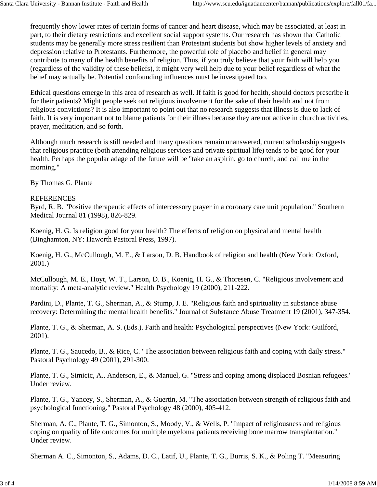frequently show lower rates of certain forms of cancer and heart disease, which may be associated, at least in part, to their dietary restrictions and excellent social support systems. Our research has shown that Catholic students may be generally more stress resilient than Protestant students but show higher levels of anxiety and depression relative to Protestants. Furthermore, the powerful role of placebo and belief in general may contribute to many of the health benefits of religion. Thus, if you truly believe that your faith will help you (regardless of the validity of these beliefs), it might very well help due to your belief regardless of what the belief may actually be. Potential confounding influences must be investigated too.

Ethical questions emerge in this area of research as well. If faith is good for health, should doctors prescribe it for their patients? Might people seek out religious involvement for the sake of their health and not from religious convictions? It is also important to point out that no research suggests that illness is due to lack of faith. It is very important not to blame patients for their illness because they are not active in church activities, prayer, meditation, and so forth.

Although much research is still needed and many questions remain unanswered, current scholarship suggests that religious practice (both attending religious services and private spiritual life) tends to be good for your health. Perhaps the popular adage of the future will be "take an aspirin, go to church, and call me in the morning."

By Thomas G. Plante

### REFERENCES

Byrd, R. B. "Positive therapeutic effects of intercessory prayer in a coronary care unit population." Southern Medical Journal 81 (1998), 826-829.

Koenig, H. G. Is religion good for your health? The effects of religion on physical and mental health (Binghamton, NY: Haworth Pastoral Press, 1997).

Koenig, H. G., McCullough, M. E., & Larson, D. B. Handbook of religion and health (New York: Oxford, 2001.)

McCullough, M. E., Hoyt, W. T., Larson, D. B., Koenig, H. G., & Thoresen, C. "Religious involvement and mortality: A meta-analytic review." Health Psychology 19 (2000), 211-222.

Pardini, D., Plante, T. G., Sherman, A., & Stump, J. E. "Religious faith and spirituality in substance abuse recovery: Determining the mental health benefits." Journal of Substance Abuse Treatment 19 (2001), 347-354.

Plante, T. G., & Sherman, A. S. (Eds.). Faith and health: Psychological perspectives (New York: Guilford, 2001).

Plante, T. G., Saucedo, B., & Rice, C. "The association between religious faith and coping with daily stress." Pastoral Psychology 49 (2001), 291-300.

Plante, T. G., Simicic, A., Anderson, E., & Manuel, G. "Stress and coping among displaced Bosnian refugees." Under review.

Plante, T. G., Yancey, S., Sherman, A., & Guertin, M. "The association between strength of religious faith and psychological functioning." Pastoral Psychology 48 (2000), 405-412.

Sherman, A. C., Plante, T. G., Simonton, S., Moody, V., & Wells, P. "Impact of religiousness and religious coping on quality of life outcomes for multiple myeloma patients receiving bone marrow transplantation." Under review.

Sherman A. C., Simonton, S., Adams, D. C., Latif, U., Plante, T. G., Burris, S. K., & Poling T. "Measuring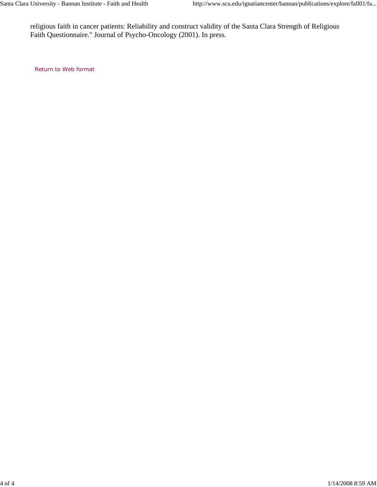religious faith in cancer patients: Reliability and construct validity of the Santa Clara Strength of Religious Faith Questionnaire." Journal of Psycho-Oncology (2001). In press.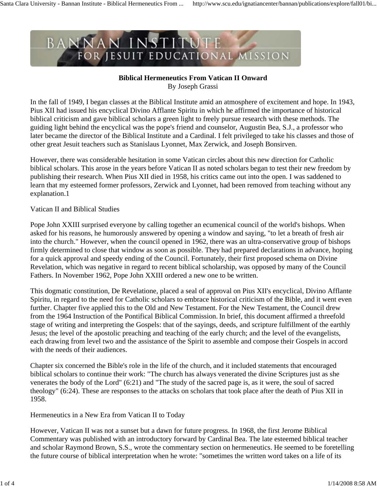#### **Biblical Hermeneutics From Vatican II Onward** By Joseph Grassi

In the fall of 1949, I began classes at the Biblical Institute amid an atmosphere of excitement and hope. In 1943, Pius XII had issued his encyclical Divino Afflante Spiritu in which he affirmed the importance of historical biblical criticism and gave biblical scholars a green light to freely pursue research with these methods. The guiding light behind the encyclical was the pope's friend and counselor, Augustin Bea, S.J., a professor who later became the director of the Biblical Institute and a Cardinal. I felt privileged to take his classes and those of other great Jesuit teachers such as Stanislaus Lyonnet, Max Zerwick, and Joseph Bonsirven.

However, there was considerable hesitation in some Vatican circles about this new direction for Catholic biblical scholars. This arose in the years before Vatican II as noted scholars began to test their new freedom by publishing their research. When Pius XII died in 1958, his critics came out into the open. I was saddened to learn that my esteemed former professors, Zerwick and Lyonnet, had been removed from teaching without any explanation.1

#### Vatican II and Biblical Studies

Pope John XXIII surprised everyone by calling together an ecumenical council of the world's bishops. When asked for his reasons, he humorously answered by opening a window and saying, "to let a breath of fresh air into the church." However, when the council opened in 1962, there was an ultra-conservative group of bishops firmly determined to close that window as soon as possible. They had prepared declarations in advance, hoping for a quick approval and speedy ending of the Council. Fortunately, their first proposed schema on Divine Revelation, which was negative in regard to recent biblical scholarship, was opposed by many of the Council Fathers. In November 1962, Pope John XXIII ordered a new one to be written.

This dogmatic constitution, De Revelatione, placed a seal of approval on Pius XII's encyclical, Divino Afflante Spiritu, in regard to the need for Catholic scholars to embrace historical criticism of the Bible, and it went even further. Chapter five applied this to the Old and New Testament. For the New Testament, the Council drew from the 1964 Instruction of the Pontifical Biblical Commission. In brief, this document affirmed a threefold stage of writing and interpreting the Gospels: that of the sayings, deeds, and scripture fulfillment of the earthly Jesus; the level of the apostolic preaching and teaching of the early church; and the level of the evangelists, each drawing from level two and the assistance of the Spirit to assemble and compose their Gospels in accord with the needs of their audiences.

Chapter six concerned the Bible's role in the life of the church, and it included statements that encouraged biblical scholars to continue their work: "The church has always venerated the divine Scriptures just as she venerates the body of the Lord" (6:21) and "The study of the sacred page is, as it were, the soul of sacred theology" (6:24). These are responses to the attacks on scholars that took place after the death of Pius XII in 1958.

Hermeneutics in a New Era from Vatican II to Today

However, Vatican II was not a sunset but a dawn for future progress. In 1968, the first Jerome Biblical Commentary was published with an introductory forward by Cardinal Bea. The late esteemed biblical teacher and scholar Raymond Brown, S.S., wrote the commentary section on hermeneutics. He seemed to be foretelling the future course of biblical interpretation when he wrote: "sometimes the written word takes on a life of its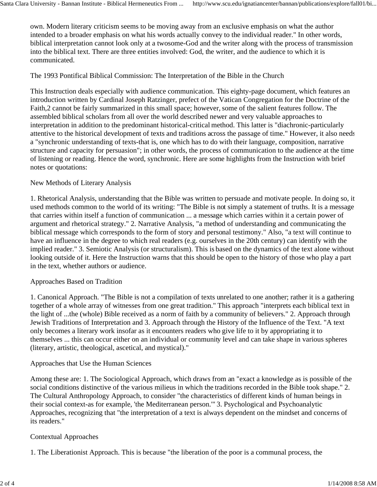own. Modern literary criticism seems to be moving away from an exclusive emphasis on what the author intended to a broader emphasis on what his words actually convey to the individual reader." In other words, biblical interpretation cannot look only at a twosome-God and the writer along with the process of transmission into the biblical text. There are three entities involved: God, the writer, and the audience to which it is communicated.

### The 1993 Pontifical Biblical Commission: The Interpretation of the Bible in the Church

This Instruction deals especially with audience communication. This eighty-page document, which features an introduction written by Cardinal Joseph Ratzinger, prefect of the Vatican Congregation for the Doctrine of the Faith,2 cannot be fairly summarized in this small space; however, some of the salient features follow. The assembled biblical scholars from all over the world described newer and very valuable approaches to interpretation in addition to the predominant historical-critical method. This latter is "diachronic-particularly attentive to the historical development of texts and traditions across the passage of time." However, it also needs a "synchronic understanding of texts-that is, one which has to do with their language, composition, narrative structure and capacity for persuasion"; in other words, the process of communication to the audience at the time of listening or reading. Hence the word, synchronic. Here are some highlights from the Instruction with brief notes or quotations:

### New Methods of Literary Analysis

1. Rhetorical Analysis, understanding that the Bible was written to persuade and motivate people. In doing so, it used methods common to the world of its writing: "The Bible is not simply a statement of truths. It is a message that carries within itself a function of communication ... a message which carries within it a certain power of argument and rhetorical strategy." 2. Narrative Analysis, "a method of understanding and communicating the biblical message which corresponds to the form of story and personal testimony." Also, "a text will continue to have an influence in the degree to which real readers (e.g. ourselves in the 20th century) can identify with the implied reader." 3. Semiotic Analysis (or structuralism). This is based on the dynamics of the text alone without looking outside of it. Here the Instruction warns that this should be open to the history of those who play a part in the text, whether authors or audience.

#### Approaches Based on Tradition

1. Canonical Approach. "The Bible is not a compilation of texts unrelated to one another; rather it is a gathering together of a whole array of witnesses from one great tradition." This approach "interprets each biblical text in the light of ...the (whole) Bible received as a norm of faith by a community of believers." 2. Approach through Jewish Traditions of Interpretation and 3. Approach through the History of the Influence of the Text. "A text only becomes a literary work insofar as it encounters readers who give life to it by appropriating it to themselves ... this can occur either on an individual or community level and can take shape in various spheres (literary, artistic, theological, ascetical, and mystical)."

# Approaches that Use the Human Sciences

Among these are: 1. The Sociological Approach, which draws from an "exact a knowledge as is possible of the social conditions distinctive of the various milieus in which the traditions recorded in the Bible took shape." 2. The Cultural Anthropology Approach, to consider "the characteristics of different kinds of human beings in their social context-as for example, 'the Mediterranean person.'" 3. Psychological and Psychoanalytic Approaches, recognizing that "the interpretation of a text is always dependent on the mindset and concerns of its readers."

#### Contextual Approaches

1. The Liberationist Approach. This is because "the liberation of the poor is a communal process, the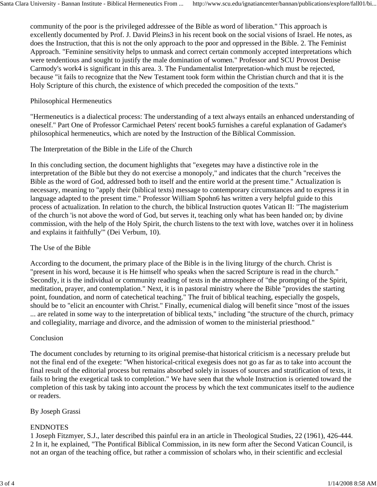community of the poor is the privileged addressee of the Bible as word of liberation." This approach is excellently documented by Prof. J. David Pleins3 in his recent book on the social visions of Israel. He notes, as does the Instruction, that this is not the only approach to the poor and oppressed in the Bible. 2. The Feminist Approach. "Feminine sensitivity helps to unmask and correct certain commonly accepted interpretations which were tendentious and sought to justify the male domination of women." Professor and SCU Provost Denise Carmody's work4 is significant in this area. 3. The Fundamentalist Interpretation-which must be rejected, because "it fails to recognize that the New Testament took form within the Christian church and that it is the Holy Scripture of this church, the existence of which preceded the composition of the texts."

#### Philosophical Hermeneutics

"Hermeneutics is a dialectical process: The understanding of a text always entails an enhanced understanding of oneself." Part One of Professor Carmichael Peters' recent book5 furnishes a careful explanation of Gadamer's philosophical hermeneutics, which are noted by the Instruction of the Biblical Commission.

# The Interpretation of the Bible in the Life of the Church

In this concluding section, the document highlights that "exegetes may have a distinctive role in the interpretation of the Bible but they do not exercise a monopoly," and indicates that the church "receives the Bible as the word of God, addressed both to itself and the entire world at the present time." Actualization is necessary, meaning to "apply their (biblical texts) message to contemporary circumstances and to express it in language adapted to the present time." Professor William Spohn6 has written a very helpful guide to this process of actualization. In relation to the church, the biblical Instruction quotes Vatican II: "The magisterium of the church 'is not above the word of God, but serves it, teaching only what has been handed on; by divine commission, with the help of the Holy Spirit, the church listens to the text with love, watches over it in holiness and explains it faithfully'" (Dei Verbum, 10).

# The Use of the Bible

According to the document, the primary place of the Bible is in the living liturgy of the church. Christ is "present in his word, because it is He himself who speaks when the sacred Scripture is read in the church." Secondly, it is the individual or community reading of texts in the atmosphere of "the prompting of the Spirit, meditation, prayer, and contemplation." Next, it is in pastoral ministry where the Bible "provides the starting point, foundation, and norm of catechetical teaching." The fruit of biblical teaching, especially the gospels, should be to "elicit an encounter with Christ." Finally, ecumenical dialog will benefit since "most of the issues ... are related in some way to the interpretation of biblical texts," including "the structure of the church, primacy and collegiality, marriage and divorce, and the admission of women to the ministerial priesthood."

#### **Conclusion**

The document concludes by returning to its original premise-that historical criticism is a necessary prelude but not the final end of the exegete: "When historical-critical exegesis does not go as far as to take into account the final result of the editorial process but remains absorbed solely in issues of sources and stratification of texts, it fails to bring the exegetical task to completion." We have seen that the whole Instruction is oriented toward the completion of this task by taking into account the process by which the text communicates itself to the audience or readers.

# By Joseph Grassi

# ENDNOTES

1 Joseph Fitzmyer, S.J., later described this painful era in an article in Theological Studies, 22 (1961), 426-444. 2 In it, he explained, "The Pontifical Biblical Commission, in its new form after the Second Vatican Council, is not an organ of the teaching office, but rather a commission of scholars who, in their scientific and ecclesial